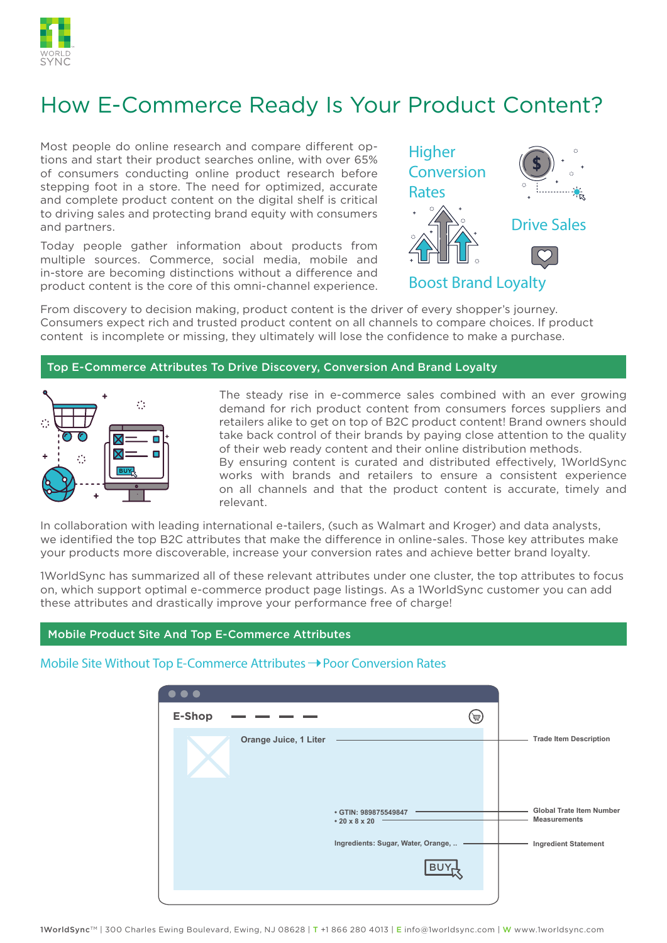

# How E-Commerce Ready Is Your Product Content?

Most people do online research and compare different options and start their product searches online, with over 65% of consumers conducting online product research before stepping foot in a store. The need for optimized, accurate and complete product content on the digital shelf is critical to driving sales and protecting brand equity with consumers and partners.

Today people gather information about products from multiple sources. Commerce, social media, mobile and in-store are becoming distinctions without a difference and product content is the core of this omni-channel experience.



From discovery to decision making, product content is the driver of every shopper's journey. Consumers expect rich and trusted product content on all channels to compare choices. If product content is incomplete or missing, they ultimately will lose the confidence to make a purchase.

#### Top E-Commerce Attributes To Drive Discovery, Conversion And Brand Loyalty



The steady rise in e-commerce sales combined with an ever growing demand for rich product content from consumers forces suppliers and retailers alike to get on top of B2C product content! Brand owners should take back control of their brands by paying close attention to the quality of their web ready content and their online distribution methods. By ensuring content is curated and distributed effectively, 1WorldSync works with brands and retailers to ensure a consistent experience on all channels and that the product content is accurate, timely and relevant.

In collaboration with leading international e-tailers, (such as Walmart and Kroger) and data analysts, we identified the top B2C attributes that make the difference in online-sales. Those key attributes make your products more discoverable, increase your conversion rates and achieve better brand loyalty.

1WorldSync has summarized all of these relevant attributes under one cluster, the top attributes to focus on, which support optimal e-commerce product page listings. As a 1WorldSync customer you can add these attributes and drastically improve your performance free of charge!

#### Mobile Product Site And Top E-Commerce Attributes

#### Mobile Site Without Top E-Commerce Attributes  $\rightarrow$  Poor Conversion Rates

| $\bullet\bullet\bullet$                     |                                                        |
|---------------------------------------------|--------------------------------------------------------|
| E-Shop<br>罗                                 |                                                        |
| Orange Juice, 1 Liter                       | <b>Trade Item Description</b>                          |
| • GTIN: 989875549847<br>$\cdot$ 20 x 8 x 20 | <b>Global Trate Item Number</b><br><b>Measurements</b> |
| Ingredients: Sugar, Water, Orange,<br>BU    | <b>Ingredient Statement</b>                            |
|                                             |                                                        |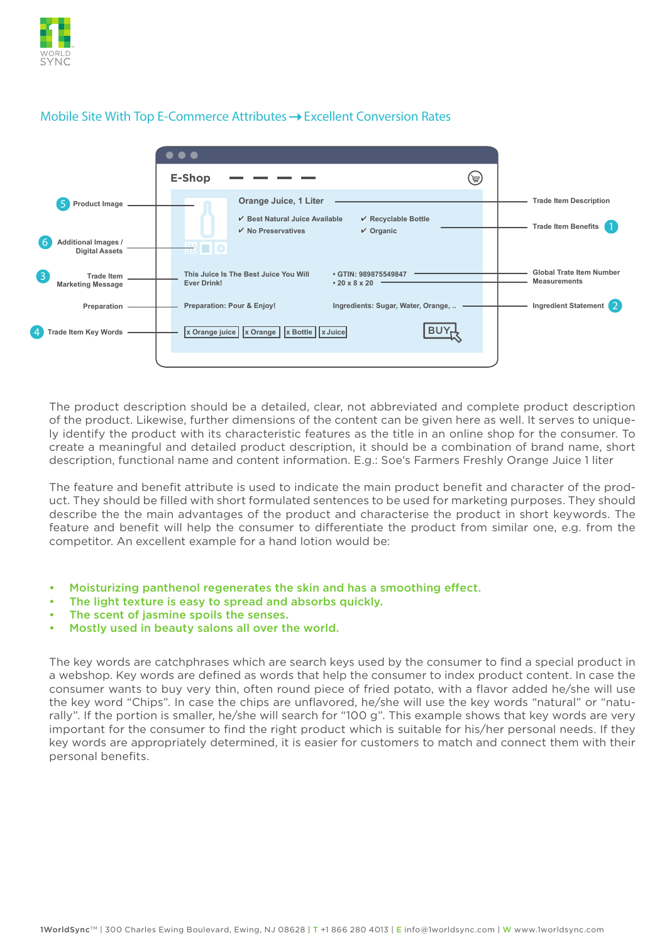



## Mobile Site With Top E-Commerce Attributes  $\rightarrow$  Excellent Conversion Rates

The product description should be a detailed, clear, not abbreviated and complete product description of the product. Likewise, further dimensions of the content can be given here as well. It serves to uniquely identify the product with its characteristic features as the title in an online shop for the consumer. To create a meaningful and detailed product description, it should be a combination of brand name, short description, functional name and content information. E.g.: Soe's Farmers Freshly Orange Juice 1 liter

The feature and benefit attribute is used to indicate the main product benefit and character of the product. They should be filled with short formulated sentences to be used for marketing purposes. They should describe the the main advantages of the product and characterise the product in short keywords. The feature and benefit will help the consumer to differentiate the product from similar one, e.g. from the competitor. An excellent example for a hand lotion would be:

- Moisturizing panthenol regenerates the skin and has a smoothing effect.
- The light texture is easy to spread and absorbs quickly.
- The scent of jasmine spoils the senses.
- Mostly used in beauty salons all over the world.

The key words are catchphrases which are search keys used by the consumer to find a special product in a webshop. Key words are defined as words that help the consumer to index product content. In case the consumer wants to buy very thin, often round piece of fried potato, with a flavor added he/she will use the key word "Chips". In case the chips are unflavored, he/she will use the key words "natural" or "naturally". If the portion is smaller, he/she will search for "100 g". This example shows that key words are very important for the consumer to find the right product which is suitable for his/her personal needs. If they key words are appropriately determined, it is easier for customers to match and connect them with their personal benefits.